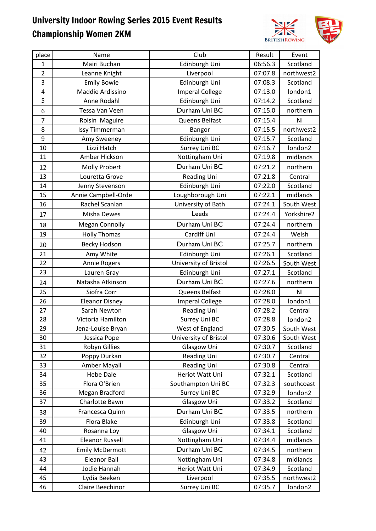

| place          | Name                   | Club                   | Result  | Event          |
|----------------|------------------------|------------------------|---------|----------------|
| $\mathbf{1}$   | Mairi Buchan           | Edinburgh Uni          | 06:56.3 | Scotland       |
| $\overline{2}$ | Leanne Knight          | Liverpool              | 07:07.8 | northwest2     |
| 3              | <b>Emily Bowie</b>     | Edinburgh Uni          | 07:08.3 | Scotland       |
| 4              | Maddie Ardissino       | <b>Imperal College</b> | 07:13.0 | london1        |
| 5              | Anne Rodahl            | Edinburgh Uni          | 07:14.2 | Scotland       |
| 6              | Tessa Van Veen         | Durham Uni BC          | 07:15.0 | northern       |
| $\overline{7}$ | Roisin Maguire         | Queens Belfast         | 07:15.4 | N <sub>1</sub> |
| 8              | <b>Issy Timmerman</b>  | Bangor                 | 07:15.5 | northwest2     |
| 9              | Amy Sweeney            | Edinburgh Uni          | 07:15.7 | Scotland       |
| 10             | Lizzi Hatch            | Surrey Uni BC          | 07:16.7 | london2        |
| 11             | Amber Hickson          | Nottingham Uni         | 07:19.8 | midlands       |
| 12             | <b>Molly Probert</b>   | Durham Uni BC          | 07:21.2 | northern       |
| 13             | Louretta Grove         | Reading Uni            | 07:21.8 | Central        |
| 14             | Jenny Stevenson        | Edinburgh Uni          | 07:22.0 | Scotland       |
| 15             | Annie Campbell-Orde    | Loughborough Uni       | 07:22.1 | midlands       |
| 16             | Rachel Scanlan         | University of Bath     | 07:24.1 | South West     |
| 17             | Misha Dewes            | Leeds                  | 07:24.4 | Yorkshire2     |
| 18             | <b>Megan Connolly</b>  | Durham Uni BC          | 07:24.4 | northern       |
| 19             | <b>Holly Thomas</b>    | Cardiff Uni            | 07:24.4 | Welsh          |
| 20             | <b>Becky Hodson</b>    | Durham Uni BC          | 07:25.7 | northern       |
| 21             | Amy White              | Edinburgh Uni          | 07:26.1 | Scotland       |
| 22             | Annie Rogers           | University of Bristol  | 07:26.5 | South West     |
| 23             | Lauren Gray            | Edinburgh Uni          | 07:27.1 | Scotland       |
| 24             | Natasha Atkinson       | Durham Uni BC          | 07:27.6 | northern       |
| 25             | Siofra Corr            | Queens Belfast         | 07:28.0 | N <sub>1</sub> |
| 26             | <b>Eleanor Disney</b>  | <b>Imperal College</b> | 07:28.0 | london1        |
| 27             | Sarah Newton           | Reading Uni            | 07:28.2 | Central        |
| 28             | Victoria Hamilton      | Surrey Uni BC          | 07:28.8 | london2        |
| 29             | Jena-Louise Bryan      | West of England        | 07:30.5 | South West     |
| 30             | Jessica Pope           | University of Bristol  | 07:30.6 | South West     |
| 31             | Robyn Gillies          | Glasgow Uni            | 07:30.7 | Scotland       |
| 32             | Poppy Durkan           | <b>Reading Uni</b>     | 07:30.7 | Central        |
| 33             | Amber Mayall           | Reading Uni            | 07:30.8 | Central        |
| 34             | <b>Hebe Dale</b>       | Heriot Watt Uni        | 07:32.1 | Scotland       |
| 35             | Flora O'Brien          | Southampton Uni BC     | 07:32.3 | southcoast     |
| 36             | Megan Bradford         | Surrey Uni BC          | 07:32.9 | london2        |
| 37             | Charlotte Bawn         | Glasgow Uni            | 07:33.2 | Scotland       |
| 38             | Francesca Quinn        | Durham Uni BC          | 07:33.5 | northern       |
| 39             | Flora Blake            | Edinburgh Uni          | 07:33.8 | Scotland       |
| 40             | Rosanna Loy            | Glasgow Uni            | 07:34.1 | Scotland       |
| 41             | <b>Eleanor Russell</b> | Nottingham Uni         | 07:34.4 | midlands       |
| 42             | <b>Emily McDermott</b> | Durham Uni BC          | 07:34.5 | northern       |
| 43             | <b>Eleanor Ball</b>    | Nottingham Uni         | 07:34.8 | midlands       |
| 44             | Jodie Hannah           | Heriot Watt Uni        | 07:34.9 | Scotland       |
| 45             | Lydia Beeken           | Liverpool              | 07:35.5 | northwest2     |
| 46             | Claire Beechinor       | Surrey Uni BC          | 07:35.7 | london2        |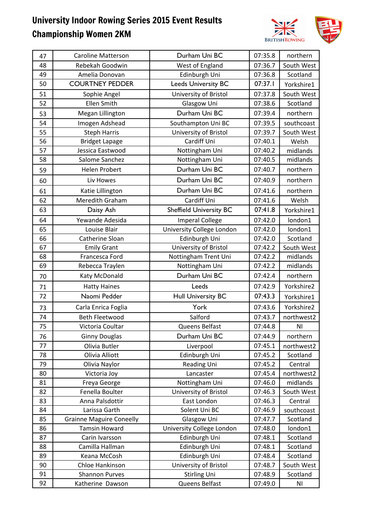

| 47 | <b>Caroline Matterson</b>       | Durham Uni BC                  | 07:35.8 | northern       |
|----|---------------------------------|--------------------------------|---------|----------------|
| 48 | Rebekah Goodwin                 | West of England                | 07:36.7 | South West     |
| 49 | Amelia Donovan                  | Edinburgh Uni                  | 07:36.8 | Scotland       |
| 50 | <b>COURTNEY PEDDER</b>          | <b>Leeds University BC</b>     | 07:37.1 | Yorkshire1     |
| 51 | Sophie Angel                    | University of Bristol          | 07:37.8 | South West     |
| 52 | <b>Ellen Smith</b>              | Glasgow Uni                    | 07:38.6 | Scotland       |
| 53 | Megan Lillington                | Durham Uni BC                  | 07:39.4 | northern       |
| 54 | Imogen Adshead                  | Southampton Uni BC             | 07:39.5 | southcoast     |
| 55 | <b>Steph Harris</b>             | University of Bristol          | 07:39.7 | South West     |
| 56 | <b>Bridget Lapage</b>           | Cardiff Uni                    | 07:40.1 | Welsh          |
| 57 | Jessica Eastwood                | Nottingham Uni                 | 07:40.2 | midlands       |
| 58 | Salome Sanchez                  | Nottingham Uni                 | 07:40.5 | midlands       |
| 59 | Helen Probert                   | Durham Uni BC                  | 07:40.7 | northern       |
| 60 | Liv Howes                       | Durham Uni BC                  | 07:40.9 | northern       |
| 61 | Katie Lillington                | Durham Uni BC                  | 07:41.6 | northern       |
| 62 | Meredith Graham                 | Cardiff Uni                    | 07:41.6 | Welsh          |
| 63 | Daisy Ash                       | <b>Sheffield University BC</b> | 07:41.8 | Yorkshire1     |
| 64 | Yewande Adesida                 | <b>Imperal College</b>         | 07:42.0 | london1        |
| 65 | Louise Blair                    | University College London      | 07:42.0 | london1        |
| 66 | Catherine Sloan                 | Edinburgh Uni                  | 07:42.0 | Scotland       |
| 67 | <b>Emily Grant</b>              | University of Bristol          | 07:42.2 | South West     |
| 68 | Francesca Ford                  | Nottingham Trent Uni           | 07:42.2 | midlands       |
| 69 | Rebecca Traylen                 | Nottingham Uni                 | 07:42.2 | midlands       |
| 70 | Katy McDonald                   | Durham Uni BC                  | 07:42.4 | northern       |
| 71 | <b>Hatty Haines</b>             | Leeds                          | 07:42.9 | Yorkshire2     |
| 72 | Naomi Pedder                    | <b>Hull University BC</b>      | 07:43.3 | Yorkshire1     |
| 73 | Carla Enrica Foglia             | York                           | 07:43.6 | Yorkshire2     |
| 74 | <b>Beth Fleetwood</b>           | Salford                        | 07:43.7 | northwest2     |
| 75 | Victoria Coultar                | Queens Belfast                 | 07:44.8 | N <sub>1</sub> |
| 76 | <b>Ginny Douglas</b>            | Durham Uni BC                  | 07:44.9 | northern       |
| 77 | Olivia Butler                   | Liverpool                      | 07:45.1 | northwest2     |
| 78 | Olivia Alliott                  | Edinburgh Uni                  | 07:45.2 | Scotland       |
| 79 | Olivia Naylor                   | Reading Uni                    | 07:45.2 | Central        |
| 80 | Victoria Joy                    | Lancaster                      | 07:45.4 | northwest2     |
| 81 | Freya George                    | Nottingham Uni                 | 07:46.0 | midlands       |
| 82 | Fenella Boulter                 | University of Bristol          | 07:46.3 | South West     |
| 83 | Anna Palsdottir                 | East London                    | 07:46.3 | Central        |
| 84 | Larissa Garth                   | Solent Uni BC                  | 07:46.9 | southcoast     |
| 85 | <b>Grainne Maguire Coneelly</b> | Glasgow Uni                    | 07:47.7 | Scotland       |
| 86 | <b>Tamsin Howard</b>            | University College London      | 07:48.0 | london1        |
| 87 | Carin Ivarsson                  | Edinburgh Uni                  | 07:48.1 | Scotland       |
| 88 | Camilla Hallman                 | Edinburgh Uni                  | 07:48.1 | Scotland       |
| 89 | Keana McCosh                    | Edinburgh Uni                  | 07:48.4 | Scotland       |
| 90 | Chloe Hankinson                 | University of Bristol          | 07:48.7 | South West     |
| 91 | <b>Shannon Purves</b>           | <b>Stirling Uni</b>            | 07:48.9 | Scotland       |
| 92 | Katherine Dawson                | Queens Belfast                 | 07:49.0 | ΝI             |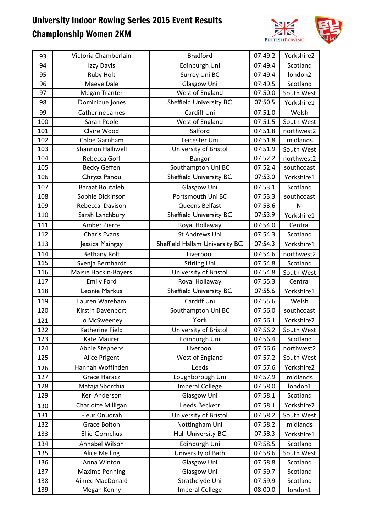

| 93  | Victoria Chamberlain   | <b>Bradford</b>                | 07:49.2 | Yorkshire2 |
|-----|------------------------|--------------------------------|---------|------------|
| 94  | Izzy Davis             | Edinburgh Uni                  | 07:49.4 | Scotland   |
| 95  | <b>Ruby Holt</b>       | Surrey Uni BC                  | 07:49.4 | london2    |
| 96  | Maeve Dale             | Glasgow Uni                    | 07:49.5 | Scotland   |
| 97  | <b>Megan Tranter</b>   | West of England                | 07:50.0 | South West |
| 98  | Dominique Jones        | <b>Sheffield University BC</b> | 07:50.5 | Yorkshire1 |
| 99  | Catherine James        | Cardiff Uni                    | 07:51.0 | Welsh      |
| 100 | Sarah Poole            | West of England                | 07:51.5 | South West |
| 101 | Claire Wood            | Salford                        | 07:51.8 | northwest2 |
| 102 | Chloe Garnham          | Leicester Uni                  | 07:51.8 | midlands   |
| 103 | Shannon Halliwell      | University of Bristol          | 07:51.9 | South West |
| 104 | Rebecca Goff           | Bangor                         | 07:52.2 | northwest2 |
| 105 | <b>Becky Geffen</b>    | Southampton Uni BC             | 07:52.4 | southcoast |
| 106 | Chrysa Panou           | <b>Sheffield University BC</b> | 07:53.0 | Yorkshire1 |
| 107 | <b>Baraat Boutaleb</b> | Glasgow Uni                    | 07:53.1 | Scotland   |
| 108 | Sophie Dickinson       | Portsmouth Uni BC              | 07:53.3 | southcoast |
| 109 | Rebecca Davison        | Queens Belfast                 | 07:53.6 | ΝI         |
| 110 | Sarah Lanchbury        | <b>Sheffield University BC</b> | 07:53.9 | Yorkshire1 |
| 111 | Amber Pierce           | Royal Hollaway                 | 07:54.0 | Central    |
| 112 | <b>Charis Evans</b>    | St Andrews Uni                 | 07:54.3 | Scotland   |
| 113 | Jessica Maingay        | Sheffield Hallam University BC | 07:54.3 | Yorkshire1 |
| 114 | <b>Bethany Rolt</b>    | Liverpool                      | 07:54.6 | northwest2 |
| 115 | Svenja Bernhardt       | <b>Stirling Uni</b>            | 07:54.8 | Scotland   |
| 116 | Maisie Hockin-Boyers   | University of Bristol          | 07:54.8 | South West |
| 117 | <b>Emily Ford</b>      | Royal Hollaway                 | 07:55.3 | Central    |
| 118 | Leonie Markus          | <b>Sheffield University BC</b> | 07:55.6 | Yorkshire1 |
| 119 | Lauren Wareham         | Cardiff Uni                    | 07:55.6 | Welsh      |
| 120 | Kirstin Davenport      | Southampton Uni BC             | 07:56.0 | southcoast |
| 121 | Jo McSweeney           | York                           | 07:56.1 | Yorkshire2 |
| 122 | Katherine Field        | University of Bristol          | 07:56.2 | South West |
| 123 | Kate Maurer            | Edinburgh Uni                  | 07:56.4 | Scotland   |
| 124 | Abbie Stephens         | Liverpool                      | 07:56.6 | northwest2 |
| 125 | Alice Prigent          | West of England                | 07:57.2 | South West |
| 126 | Hannah Woffinden       | Leeds                          | 07:57.6 | Yorkshire2 |
| 127 | <b>Grace Haracz</b>    | Loughborough Uni               | 07:57.9 | midlands   |
| 128 | Mataja Sborchia        | <b>Imperal College</b>         | 07:58.0 | london1    |
| 129 | Keri Anderson          | Glasgow Uni                    | 07:58.1 | Scotland   |
| 130 | Charlotte Milligan     | Leeds Beckett                  | 07:58.1 | Yorkshire2 |
| 131 | Fleur Onuorah          | University of Bristol          | 07:58.2 | South West |
| 132 | <b>Grace Bolton</b>    | Nottingham Uni                 | 07:58.2 | midlands   |
| 133 | <b>Ellie Cornelius</b> | <b>Hull University BC</b>      | 07:58.3 | Yorkshire1 |
| 134 | Annabel Wilson         | Edinburgh Uni                  | 07:58.5 | Scotland   |
| 135 | <b>Alice Melling</b>   | University of Bath             | 07:58.6 | South West |
| 136 | Anna Winton            | Glasgow Uni                    | 07:58.8 | Scotland   |
| 137 | <b>Maxime Penning</b>  | Glasgow Uni                    | 07:59.7 | Scotland   |
| 138 | Aimee MacDonald        | Strathclyde Uni                | 07:59.9 | Scotland   |
| 139 | Megan Kenny            | <b>Imperal College</b>         | 08:00.0 | london1    |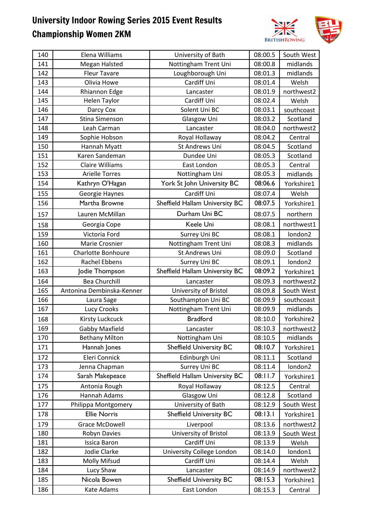

| Nottingham Trent Uni<br>141<br>Megan Halsted<br>08:00.8<br>midlands<br>Loughborough Uni<br>142<br><b>Fleur Tavare</b><br>08:01.3<br>midlands<br>Cardiff Uni<br>08:01.4<br>143<br>Olivia Howe<br>Welsh<br>144<br>Rhiannon Edge<br>Lancaster<br>08:01.9<br>northwest2<br>145<br>Cardiff Uni<br>08:02.4<br>Welsh<br>Helen Taylor<br>Solent Uni BC<br>146<br>Darcy Cox<br>08:03.1<br>southcoast<br>Scotland<br>147<br><b>Stina Simenson</b><br>08:03.2<br>Glasgow Uni<br>08:04.0<br>northwest2<br>148<br>Leah Carman<br>Lancaster<br>149<br>08:04.2<br>Central<br>Sophie Hobson<br>Royal Hollaway<br>150<br>08:04.5<br>St Andrews Uni<br>Scotland<br>Hannah Myatt<br>Karen Sandeman<br>Dundee Uni<br>Scotland<br>151<br>08:05.3<br>152<br><b>Claire Williams</b><br>East London<br>08:05.3<br>Central<br>153<br><b>Arielle Torres</b><br>Nottingham Uni<br>08:05.3<br>midlands<br>York St John University BC<br>08:06.6<br>154<br>Kathryn O'Hagan<br>Yorkshire1<br>Cardiff Uni<br>155<br>08:07.4<br>Welsh<br>Georgie Haynes<br>Sheffield Hallam University BC<br>08:07.5<br>156<br>Martha Browne<br>Yorkshire1<br>Durham Uni BC<br>08:07.5<br>northern<br>Lauren McMillan<br>157<br>Keele Uni<br>northwest1<br>08:08.1<br>Georgia Cope<br>158<br>Victoria Ford<br>08:08.1<br>london2<br>159<br>Surrey Uni BC<br>Nottingham Trent Uni<br>08:08.3<br>midlands<br>160<br>Marie Crosnier<br>161<br>St Andrews Uni<br>08:09.0<br><b>Charlotte Bonhoure</b><br>Scotland<br><b>Rachel Ebbens</b><br>08:09.1<br>london2<br>162<br>Surrey Uni BC<br>Sheffield Hallam University BC<br>08:09.2<br>163<br>Jodie Thompson<br>Yorkshire1<br>08:09.3<br>164<br><b>Bea Churchill</b><br>northwest2<br>Lancaster<br>165<br>Antonina Dembinska-Kenner<br>University of Bristol<br>08:09.8<br>South West<br>166<br>Southampton Uni BC<br>08:09.9<br>southcoast<br>Laura Sage<br>midlands<br>167<br>Lucy Crooks<br>Nottingham Trent Uni<br>08:09.9<br><b>Bradford</b><br><b>Kirsty Luckcuck</b><br>08:10.0<br>Yorkshire2<br>168<br><b>Gabby Maxfield</b><br>169<br>08:10.3<br>northwest2<br>Lancaster<br>08:10.5<br>midlands<br>170<br>Nottingham Uni<br><b>Bethany Milton</b><br>08:10.7<br><b>Sheffield University BC</b><br>171<br>Hannah Jones<br>Yorkshire1<br>Eleri Connick<br>Edinburgh Uni<br>Scotland<br>08:11.1<br>172<br>Surrey Uni BC<br>08:11.4<br>173<br>Jenna Chapman<br>london2<br>Sheffield Hallam University BC<br>08:11.7<br>174<br>Sarah Makepeace<br>Yorkshire1<br>Royal Hollaway<br>08:12.5<br>Central<br>175<br>Antonia Rough<br>176<br>Hannah Adams<br>Glasgow Uni<br>08:12.8<br>Scotland<br>University of Bath<br>177<br>08:12.9<br>South West<br>Philippa Montgomery<br>08:13.1<br><b>Ellie Norris</b><br><b>Sheffield University BC</b><br>178<br>Yorkshire1<br>08:13.6<br>179<br><b>Grace McDowell</b><br>northwest2<br>Liverpool<br>University of Bristol<br>08:13.9<br>South West<br>180<br>Robyn Davies<br>Cardiff Uni<br>181<br>08:13.9<br>Welsh<br><b>Issica Baron</b><br>Jodie Clarke<br>University College London<br>182<br>08:14.0<br>london1<br>Cardiff Uni<br>08:14.4<br>183<br><b>Molly Mifsud</b><br>Welsh<br>Lancaster<br>08:14.9<br>northwest2<br>184<br>Lucy Shaw<br>08:15.3<br>Nicola Bowen<br><b>Sheffield University BC</b><br>185<br>Yorkshire1 | 140 | Elena Williams | University of Bath | 08:00.5 | South West |
|-------------------------------------------------------------------------------------------------------------------------------------------------------------------------------------------------------------------------------------------------------------------------------------------------------------------------------------------------------------------------------------------------------------------------------------------------------------------------------------------------------------------------------------------------------------------------------------------------------------------------------------------------------------------------------------------------------------------------------------------------------------------------------------------------------------------------------------------------------------------------------------------------------------------------------------------------------------------------------------------------------------------------------------------------------------------------------------------------------------------------------------------------------------------------------------------------------------------------------------------------------------------------------------------------------------------------------------------------------------------------------------------------------------------------------------------------------------------------------------------------------------------------------------------------------------------------------------------------------------------------------------------------------------------------------------------------------------------------------------------------------------------------------------------------------------------------------------------------------------------------------------------------------------------------------------------------------------------------------------------------------------------------------------------------------------------------------------------------------------------------------------------------------------------------------------------------------------------------------------------------------------------------------------------------------------------------------------------------------------------------------------------------------------------------------------------------------------------------------------------------------------------------------------------------------------------------------------------------------------------------------------------------------------------------------------------------------------------------------------------------------------------------------------------------------------------------------------------------------------------------------------------------------------------------------------------------------------------------------------------------------------------------------------------------------------------------------------------------------------------------------------------------------------------------------------------------------------------------------------------------------------------------|-----|----------------|--------------------|---------|------------|
|                                                                                                                                                                                                                                                                                                                                                                                                                                                                                                                                                                                                                                                                                                                                                                                                                                                                                                                                                                                                                                                                                                                                                                                                                                                                                                                                                                                                                                                                                                                                                                                                                                                                                                                                                                                                                                                                                                                                                                                                                                                                                                                                                                                                                                                                                                                                                                                                                                                                                                                                                                                                                                                                                                                                                                                                                                                                                                                                                                                                                                                                                                                                                                                                                                                                         |     |                |                    |         |            |
|                                                                                                                                                                                                                                                                                                                                                                                                                                                                                                                                                                                                                                                                                                                                                                                                                                                                                                                                                                                                                                                                                                                                                                                                                                                                                                                                                                                                                                                                                                                                                                                                                                                                                                                                                                                                                                                                                                                                                                                                                                                                                                                                                                                                                                                                                                                                                                                                                                                                                                                                                                                                                                                                                                                                                                                                                                                                                                                                                                                                                                                                                                                                                                                                                                                                         |     |                |                    |         |            |
|                                                                                                                                                                                                                                                                                                                                                                                                                                                                                                                                                                                                                                                                                                                                                                                                                                                                                                                                                                                                                                                                                                                                                                                                                                                                                                                                                                                                                                                                                                                                                                                                                                                                                                                                                                                                                                                                                                                                                                                                                                                                                                                                                                                                                                                                                                                                                                                                                                                                                                                                                                                                                                                                                                                                                                                                                                                                                                                                                                                                                                                                                                                                                                                                                                                                         |     |                |                    |         |            |
|                                                                                                                                                                                                                                                                                                                                                                                                                                                                                                                                                                                                                                                                                                                                                                                                                                                                                                                                                                                                                                                                                                                                                                                                                                                                                                                                                                                                                                                                                                                                                                                                                                                                                                                                                                                                                                                                                                                                                                                                                                                                                                                                                                                                                                                                                                                                                                                                                                                                                                                                                                                                                                                                                                                                                                                                                                                                                                                                                                                                                                                                                                                                                                                                                                                                         |     |                |                    |         |            |
|                                                                                                                                                                                                                                                                                                                                                                                                                                                                                                                                                                                                                                                                                                                                                                                                                                                                                                                                                                                                                                                                                                                                                                                                                                                                                                                                                                                                                                                                                                                                                                                                                                                                                                                                                                                                                                                                                                                                                                                                                                                                                                                                                                                                                                                                                                                                                                                                                                                                                                                                                                                                                                                                                                                                                                                                                                                                                                                                                                                                                                                                                                                                                                                                                                                                         |     |                |                    |         |            |
|                                                                                                                                                                                                                                                                                                                                                                                                                                                                                                                                                                                                                                                                                                                                                                                                                                                                                                                                                                                                                                                                                                                                                                                                                                                                                                                                                                                                                                                                                                                                                                                                                                                                                                                                                                                                                                                                                                                                                                                                                                                                                                                                                                                                                                                                                                                                                                                                                                                                                                                                                                                                                                                                                                                                                                                                                                                                                                                                                                                                                                                                                                                                                                                                                                                                         |     |                |                    |         |            |
|                                                                                                                                                                                                                                                                                                                                                                                                                                                                                                                                                                                                                                                                                                                                                                                                                                                                                                                                                                                                                                                                                                                                                                                                                                                                                                                                                                                                                                                                                                                                                                                                                                                                                                                                                                                                                                                                                                                                                                                                                                                                                                                                                                                                                                                                                                                                                                                                                                                                                                                                                                                                                                                                                                                                                                                                                                                                                                                                                                                                                                                                                                                                                                                                                                                                         |     |                |                    |         |            |
|                                                                                                                                                                                                                                                                                                                                                                                                                                                                                                                                                                                                                                                                                                                                                                                                                                                                                                                                                                                                                                                                                                                                                                                                                                                                                                                                                                                                                                                                                                                                                                                                                                                                                                                                                                                                                                                                                                                                                                                                                                                                                                                                                                                                                                                                                                                                                                                                                                                                                                                                                                                                                                                                                                                                                                                                                                                                                                                                                                                                                                                                                                                                                                                                                                                                         |     |                |                    |         |            |
|                                                                                                                                                                                                                                                                                                                                                                                                                                                                                                                                                                                                                                                                                                                                                                                                                                                                                                                                                                                                                                                                                                                                                                                                                                                                                                                                                                                                                                                                                                                                                                                                                                                                                                                                                                                                                                                                                                                                                                                                                                                                                                                                                                                                                                                                                                                                                                                                                                                                                                                                                                                                                                                                                                                                                                                                                                                                                                                                                                                                                                                                                                                                                                                                                                                                         |     |                |                    |         |            |
|                                                                                                                                                                                                                                                                                                                                                                                                                                                                                                                                                                                                                                                                                                                                                                                                                                                                                                                                                                                                                                                                                                                                                                                                                                                                                                                                                                                                                                                                                                                                                                                                                                                                                                                                                                                                                                                                                                                                                                                                                                                                                                                                                                                                                                                                                                                                                                                                                                                                                                                                                                                                                                                                                                                                                                                                                                                                                                                                                                                                                                                                                                                                                                                                                                                                         |     |                |                    |         |            |
|                                                                                                                                                                                                                                                                                                                                                                                                                                                                                                                                                                                                                                                                                                                                                                                                                                                                                                                                                                                                                                                                                                                                                                                                                                                                                                                                                                                                                                                                                                                                                                                                                                                                                                                                                                                                                                                                                                                                                                                                                                                                                                                                                                                                                                                                                                                                                                                                                                                                                                                                                                                                                                                                                                                                                                                                                                                                                                                                                                                                                                                                                                                                                                                                                                                                         |     |                |                    |         |            |
|                                                                                                                                                                                                                                                                                                                                                                                                                                                                                                                                                                                                                                                                                                                                                                                                                                                                                                                                                                                                                                                                                                                                                                                                                                                                                                                                                                                                                                                                                                                                                                                                                                                                                                                                                                                                                                                                                                                                                                                                                                                                                                                                                                                                                                                                                                                                                                                                                                                                                                                                                                                                                                                                                                                                                                                                                                                                                                                                                                                                                                                                                                                                                                                                                                                                         |     |                |                    |         |            |
|                                                                                                                                                                                                                                                                                                                                                                                                                                                                                                                                                                                                                                                                                                                                                                                                                                                                                                                                                                                                                                                                                                                                                                                                                                                                                                                                                                                                                                                                                                                                                                                                                                                                                                                                                                                                                                                                                                                                                                                                                                                                                                                                                                                                                                                                                                                                                                                                                                                                                                                                                                                                                                                                                                                                                                                                                                                                                                                                                                                                                                                                                                                                                                                                                                                                         |     |                |                    |         |            |
|                                                                                                                                                                                                                                                                                                                                                                                                                                                                                                                                                                                                                                                                                                                                                                                                                                                                                                                                                                                                                                                                                                                                                                                                                                                                                                                                                                                                                                                                                                                                                                                                                                                                                                                                                                                                                                                                                                                                                                                                                                                                                                                                                                                                                                                                                                                                                                                                                                                                                                                                                                                                                                                                                                                                                                                                                                                                                                                                                                                                                                                                                                                                                                                                                                                                         |     |                |                    |         |            |
|                                                                                                                                                                                                                                                                                                                                                                                                                                                                                                                                                                                                                                                                                                                                                                                                                                                                                                                                                                                                                                                                                                                                                                                                                                                                                                                                                                                                                                                                                                                                                                                                                                                                                                                                                                                                                                                                                                                                                                                                                                                                                                                                                                                                                                                                                                                                                                                                                                                                                                                                                                                                                                                                                                                                                                                                                                                                                                                                                                                                                                                                                                                                                                                                                                                                         |     |                |                    |         |            |
|                                                                                                                                                                                                                                                                                                                                                                                                                                                                                                                                                                                                                                                                                                                                                                                                                                                                                                                                                                                                                                                                                                                                                                                                                                                                                                                                                                                                                                                                                                                                                                                                                                                                                                                                                                                                                                                                                                                                                                                                                                                                                                                                                                                                                                                                                                                                                                                                                                                                                                                                                                                                                                                                                                                                                                                                                                                                                                                                                                                                                                                                                                                                                                                                                                                                         |     |                |                    |         |            |
|                                                                                                                                                                                                                                                                                                                                                                                                                                                                                                                                                                                                                                                                                                                                                                                                                                                                                                                                                                                                                                                                                                                                                                                                                                                                                                                                                                                                                                                                                                                                                                                                                                                                                                                                                                                                                                                                                                                                                                                                                                                                                                                                                                                                                                                                                                                                                                                                                                                                                                                                                                                                                                                                                                                                                                                                                                                                                                                                                                                                                                                                                                                                                                                                                                                                         |     |                |                    |         |            |
|                                                                                                                                                                                                                                                                                                                                                                                                                                                                                                                                                                                                                                                                                                                                                                                                                                                                                                                                                                                                                                                                                                                                                                                                                                                                                                                                                                                                                                                                                                                                                                                                                                                                                                                                                                                                                                                                                                                                                                                                                                                                                                                                                                                                                                                                                                                                                                                                                                                                                                                                                                                                                                                                                                                                                                                                                                                                                                                                                                                                                                                                                                                                                                                                                                                                         |     |                |                    |         |            |
|                                                                                                                                                                                                                                                                                                                                                                                                                                                                                                                                                                                                                                                                                                                                                                                                                                                                                                                                                                                                                                                                                                                                                                                                                                                                                                                                                                                                                                                                                                                                                                                                                                                                                                                                                                                                                                                                                                                                                                                                                                                                                                                                                                                                                                                                                                                                                                                                                                                                                                                                                                                                                                                                                                                                                                                                                                                                                                                                                                                                                                                                                                                                                                                                                                                                         |     |                |                    |         |            |
|                                                                                                                                                                                                                                                                                                                                                                                                                                                                                                                                                                                                                                                                                                                                                                                                                                                                                                                                                                                                                                                                                                                                                                                                                                                                                                                                                                                                                                                                                                                                                                                                                                                                                                                                                                                                                                                                                                                                                                                                                                                                                                                                                                                                                                                                                                                                                                                                                                                                                                                                                                                                                                                                                                                                                                                                                                                                                                                                                                                                                                                                                                                                                                                                                                                                         |     |                |                    |         |            |
|                                                                                                                                                                                                                                                                                                                                                                                                                                                                                                                                                                                                                                                                                                                                                                                                                                                                                                                                                                                                                                                                                                                                                                                                                                                                                                                                                                                                                                                                                                                                                                                                                                                                                                                                                                                                                                                                                                                                                                                                                                                                                                                                                                                                                                                                                                                                                                                                                                                                                                                                                                                                                                                                                                                                                                                                                                                                                                                                                                                                                                                                                                                                                                                                                                                                         |     |                |                    |         |            |
|                                                                                                                                                                                                                                                                                                                                                                                                                                                                                                                                                                                                                                                                                                                                                                                                                                                                                                                                                                                                                                                                                                                                                                                                                                                                                                                                                                                                                                                                                                                                                                                                                                                                                                                                                                                                                                                                                                                                                                                                                                                                                                                                                                                                                                                                                                                                                                                                                                                                                                                                                                                                                                                                                                                                                                                                                                                                                                                                                                                                                                                                                                                                                                                                                                                                         |     |                |                    |         |            |
|                                                                                                                                                                                                                                                                                                                                                                                                                                                                                                                                                                                                                                                                                                                                                                                                                                                                                                                                                                                                                                                                                                                                                                                                                                                                                                                                                                                                                                                                                                                                                                                                                                                                                                                                                                                                                                                                                                                                                                                                                                                                                                                                                                                                                                                                                                                                                                                                                                                                                                                                                                                                                                                                                                                                                                                                                                                                                                                                                                                                                                                                                                                                                                                                                                                                         |     |                |                    |         |            |
|                                                                                                                                                                                                                                                                                                                                                                                                                                                                                                                                                                                                                                                                                                                                                                                                                                                                                                                                                                                                                                                                                                                                                                                                                                                                                                                                                                                                                                                                                                                                                                                                                                                                                                                                                                                                                                                                                                                                                                                                                                                                                                                                                                                                                                                                                                                                                                                                                                                                                                                                                                                                                                                                                                                                                                                                                                                                                                                                                                                                                                                                                                                                                                                                                                                                         |     |                |                    |         |            |
|                                                                                                                                                                                                                                                                                                                                                                                                                                                                                                                                                                                                                                                                                                                                                                                                                                                                                                                                                                                                                                                                                                                                                                                                                                                                                                                                                                                                                                                                                                                                                                                                                                                                                                                                                                                                                                                                                                                                                                                                                                                                                                                                                                                                                                                                                                                                                                                                                                                                                                                                                                                                                                                                                                                                                                                                                                                                                                                                                                                                                                                                                                                                                                                                                                                                         |     |                |                    |         |            |
|                                                                                                                                                                                                                                                                                                                                                                                                                                                                                                                                                                                                                                                                                                                                                                                                                                                                                                                                                                                                                                                                                                                                                                                                                                                                                                                                                                                                                                                                                                                                                                                                                                                                                                                                                                                                                                                                                                                                                                                                                                                                                                                                                                                                                                                                                                                                                                                                                                                                                                                                                                                                                                                                                                                                                                                                                                                                                                                                                                                                                                                                                                                                                                                                                                                                         |     |                |                    |         |            |
|                                                                                                                                                                                                                                                                                                                                                                                                                                                                                                                                                                                                                                                                                                                                                                                                                                                                                                                                                                                                                                                                                                                                                                                                                                                                                                                                                                                                                                                                                                                                                                                                                                                                                                                                                                                                                                                                                                                                                                                                                                                                                                                                                                                                                                                                                                                                                                                                                                                                                                                                                                                                                                                                                                                                                                                                                                                                                                                                                                                                                                                                                                                                                                                                                                                                         |     |                |                    |         |            |
|                                                                                                                                                                                                                                                                                                                                                                                                                                                                                                                                                                                                                                                                                                                                                                                                                                                                                                                                                                                                                                                                                                                                                                                                                                                                                                                                                                                                                                                                                                                                                                                                                                                                                                                                                                                                                                                                                                                                                                                                                                                                                                                                                                                                                                                                                                                                                                                                                                                                                                                                                                                                                                                                                                                                                                                                                                                                                                                                                                                                                                                                                                                                                                                                                                                                         |     |                |                    |         |            |
|                                                                                                                                                                                                                                                                                                                                                                                                                                                                                                                                                                                                                                                                                                                                                                                                                                                                                                                                                                                                                                                                                                                                                                                                                                                                                                                                                                                                                                                                                                                                                                                                                                                                                                                                                                                                                                                                                                                                                                                                                                                                                                                                                                                                                                                                                                                                                                                                                                                                                                                                                                                                                                                                                                                                                                                                                                                                                                                                                                                                                                                                                                                                                                                                                                                                         |     |                |                    |         |            |
|                                                                                                                                                                                                                                                                                                                                                                                                                                                                                                                                                                                                                                                                                                                                                                                                                                                                                                                                                                                                                                                                                                                                                                                                                                                                                                                                                                                                                                                                                                                                                                                                                                                                                                                                                                                                                                                                                                                                                                                                                                                                                                                                                                                                                                                                                                                                                                                                                                                                                                                                                                                                                                                                                                                                                                                                                                                                                                                                                                                                                                                                                                                                                                                                                                                                         |     |                |                    |         |            |
|                                                                                                                                                                                                                                                                                                                                                                                                                                                                                                                                                                                                                                                                                                                                                                                                                                                                                                                                                                                                                                                                                                                                                                                                                                                                                                                                                                                                                                                                                                                                                                                                                                                                                                                                                                                                                                                                                                                                                                                                                                                                                                                                                                                                                                                                                                                                                                                                                                                                                                                                                                                                                                                                                                                                                                                                                                                                                                                                                                                                                                                                                                                                                                                                                                                                         |     |                |                    |         |            |
|                                                                                                                                                                                                                                                                                                                                                                                                                                                                                                                                                                                                                                                                                                                                                                                                                                                                                                                                                                                                                                                                                                                                                                                                                                                                                                                                                                                                                                                                                                                                                                                                                                                                                                                                                                                                                                                                                                                                                                                                                                                                                                                                                                                                                                                                                                                                                                                                                                                                                                                                                                                                                                                                                                                                                                                                                                                                                                                                                                                                                                                                                                                                                                                                                                                                         |     |                |                    |         |            |
|                                                                                                                                                                                                                                                                                                                                                                                                                                                                                                                                                                                                                                                                                                                                                                                                                                                                                                                                                                                                                                                                                                                                                                                                                                                                                                                                                                                                                                                                                                                                                                                                                                                                                                                                                                                                                                                                                                                                                                                                                                                                                                                                                                                                                                                                                                                                                                                                                                                                                                                                                                                                                                                                                                                                                                                                                                                                                                                                                                                                                                                                                                                                                                                                                                                                         |     |                |                    |         |            |
|                                                                                                                                                                                                                                                                                                                                                                                                                                                                                                                                                                                                                                                                                                                                                                                                                                                                                                                                                                                                                                                                                                                                                                                                                                                                                                                                                                                                                                                                                                                                                                                                                                                                                                                                                                                                                                                                                                                                                                                                                                                                                                                                                                                                                                                                                                                                                                                                                                                                                                                                                                                                                                                                                                                                                                                                                                                                                                                                                                                                                                                                                                                                                                                                                                                                         |     |                |                    |         |            |
|                                                                                                                                                                                                                                                                                                                                                                                                                                                                                                                                                                                                                                                                                                                                                                                                                                                                                                                                                                                                                                                                                                                                                                                                                                                                                                                                                                                                                                                                                                                                                                                                                                                                                                                                                                                                                                                                                                                                                                                                                                                                                                                                                                                                                                                                                                                                                                                                                                                                                                                                                                                                                                                                                                                                                                                                                                                                                                                                                                                                                                                                                                                                                                                                                                                                         |     |                |                    |         |            |
|                                                                                                                                                                                                                                                                                                                                                                                                                                                                                                                                                                                                                                                                                                                                                                                                                                                                                                                                                                                                                                                                                                                                                                                                                                                                                                                                                                                                                                                                                                                                                                                                                                                                                                                                                                                                                                                                                                                                                                                                                                                                                                                                                                                                                                                                                                                                                                                                                                                                                                                                                                                                                                                                                                                                                                                                                                                                                                                                                                                                                                                                                                                                                                                                                                                                         |     |                |                    |         |            |
|                                                                                                                                                                                                                                                                                                                                                                                                                                                                                                                                                                                                                                                                                                                                                                                                                                                                                                                                                                                                                                                                                                                                                                                                                                                                                                                                                                                                                                                                                                                                                                                                                                                                                                                                                                                                                                                                                                                                                                                                                                                                                                                                                                                                                                                                                                                                                                                                                                                                                                                                                                                                                                                                                                                                                                                                                                                                                                                                                                                                                                                                                                                                                                                                                                                                         |     |                |                    |         |            |
|                                                                                                                                                                                                                                                                                                                                                                                                                                                                                                                                                                                                                                                                                                                                                                                                                                                                                                                                                                                                                                                                                                                                                                                                                                                                                                                                                                                                                                                                                                                                                                                                                                                                                                                                                                                                                                                                                                                                                                                                                                                                                                                                                                                                                                                                                                                                                                                                                                                                                                                                                                                                                                                                                                                                                                                                                                                                                                                                                                                                                                                                                                                                                                                                                                                                         |     |                |                    |         |            |
|                                                                                                                                                                                                                                                                                                                                                                                                                                                                                                                                                                                                                                                                                                                                                                                                                                                                                                                                                                                                                                                                                                                                                                                                                                                                                                                                                                                                                                                                                                                                                                                                                                                                                                                                                                                                                                                                                                                                                                                                                                                                                                                                                                                                                                                                                                                                                                                                                                                                                                                                                                                                                                                                                                                                                                                                                                                                                                                                                                                                                                                                                                                                                                                                                                                                         |     |                |                    |         |            |
|                                                                                                                                                                                                                                                                                                                                                                                                                                                                                                                                                                                                                                                                                                                                                                                                                                                                                                                                                                                                                                                                                                                                                                                                                                                                                                                                                                                                                                                                                                                                                                                                                                                                                                                                                                                                                                                                                                                                                                                                                                                                                                                                                                                                                                                                                                                                                                                                                                                                                                                                                                                                                                                                                                                                                                                                                                                                                                                                                                                                                                                                                                                                                                                                                                                                         |     |                |                    |         |            |
|                                                                                                                                                                                                                                                                                                                                                                                                                                                                                                                                                                                                                                                                                                                                                                                                                                                                                                                                                                                                                                                                                                                                                                                                                                                                                                                                                                                                                                                                                                                                                                                                                                                                                                                                                                                                                                                                                                                                                                                                                                                                                                                                                                                                                                                                                                                                                                                                                                                                                                                                                                                                                                                                                                                                                                                                                                                                                                                                                                                                                                                                                                                                                                                                                                                                         |     |                |                    |         |            |
|                                                                                                                                                                                                                                                                                                                                                                                                                                                                                                                                                                                                                                                                                                                                                                                                                                                                                                                                                                                                                                                                                                                                                                                                                                                                                                                                                                                                                                                                                                                                                                                                                                                                                                                                                                                                                                                                                                                                                                                                                                                                                                                                                                                                                                                                                                                                                                                                                                                                                                                                                                                                                                                                                                                                                                                                                                                                                                                                                                                                                                                                                                                                                                                                                                                                         |     |                |                    |         |            |
|                                                                                                                                                                                                                                                                                                                                                                                                                                                                                                                                                                                                                                                                                                                                                                                                                                                                                                                                                                                                                                                                                                                                                                                                                                                                                                                                                                                                                                                                                                                                                                                                                                                                                                                                                                                                                                                                                                                                                                                                                                                                                                                                                                                                                                                                                                                                                                                                                                                                                                                                                                                                                                                                                                                                                                                                                                                                                                                                                                                                                                                                                                                                                                                                                                                                         |     |                |                    |         |            |
|                                                                                                                                                                                                                                                                                                                                                                                                                                                                                                                                                                                                                                                                                                                                                                                                                                                                                                                                                                                                                                                                                                                                                                                                                                                                                                                                                                                                                                                                                                                                                                                                                                                                                                                                                                                                                                                                                                                                                                                                                                                                                                                                                                                                                                                                                                                                                                                                                                                                                                                                                                                                                                                                                                                                                                                                                                                                                                                                                                                                                                                                                                                                                                                                                                                                         |     |                |                    |         |            |
|                                                                                                                                                                                                                                                                                                                                                                                                                                                                                                                                                                                                                                                                                                                                                                                                                                                                                                                                                                                                                                                                                                                                                                                                                                                                                                                                                                                                                                                                                                                                                                                                                                                                                                                                                                                                                                                                                                                                                                                                                                                                                                                                                                                                                                                                                                                                                                                                                                                                                                                                                                                                                                                                                                                                                                                                                                                                                                                                                                                                                                                                                                                                                                                                                                                                         |     |                |                    |         |            |
|                                                                                                                                                                                                                                                                                                                                                                                                                                                                                                                                                                                                                                                                                                                                                                                                                                                                                                                                                                                                                                                                                                                                                                                                                                                                                                                                                                                                                                                                                                                                                                                                                                                                                                                                                                                                                                                                                                                                                                                                                                                                                                                                                                                                                                                                                                                                                                                                                                                                                                                                                                                                                                                                                                                                                                                                                                                                                                                                                                                                                                                                                                                                                                                                                                                                         | 186 | Kate Adams     | East London        | 08:15.3 | Central    |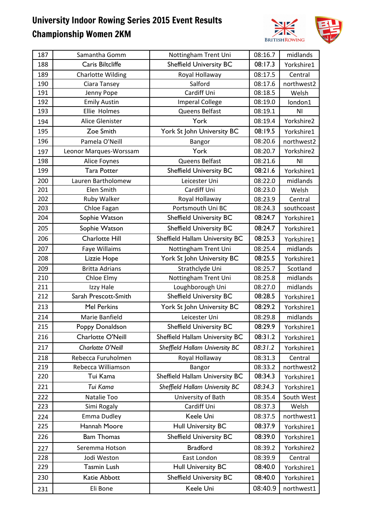

| 187 | Samantha Gomm            | Nottingham Trent Uni           | 08:16.7 | midlands       |
|-----|--------------------------|--------------------------------|---------|----------------|
| 188 | Caris Biltcliffe         | <b>Sheffield University BC</b> | 08:17.3 | Yorkshire1     |
| 189 | <b>Charlotte Wilding</b> | Royal Hollaway                 | 08:17.5 | Central        |
| 190 | Ciara Tansey             | Salford                        | 08:17.6 | northwest2     |
| 191 | Jenny Pope               | Cardiff Uni                    | 08:18.5 | Welsh          |
| 192 | <b>Emily Austin</b>      | <b>Imperal College</b>         | 08:19.0 | london1        |
| 193 | Ellie Holmes             | Queens Belfast                 | 08:19.1 | ΝI             |
| 194 | Alice Glenister          | York                           | 08:19.4 | Yorkshire2     |
| 195 | Zoe Smith                | York St John University BC     | 08:19.5 | Yorkshire1     |
| 196 | Pamela O'Neill           | Bangor                         | 08:20.6 | northwest2     |
| 197 | Leonor Marques-Worssam   | York                           | 08:20.7 | Yorkshire2     |
| 198 | Alice Foynes             | Queens Belfast                 | 08:21.6 | N <sub>l</sub> |
| 199 | <b>Tara Potter</b>       | <b>Sheffield University BC</b> | 08:21.6 | Yorkshire1     |
| 200 | Lauren Bartholomew       | Leicester Uni                  | 08:22.0 | midlands       |
| 201 | Elen Smith               | Cardiff Uni                    | 08:23.0 | Welsh          |
| 202 | Ruby Walker              | Royal Hollaway                 | 08:23.9 | Central        |
| 203 | Chloe Fagan              | Portsmouth Uni BC              | 08:24.3 | southcoast     |
| 204 | Sophie Watson            | <b>Sheffield University BC</b> | 08:24.7 | Yorkshire1     |
| 205 | Sophie Watson            | <b>Sheffield University BC</b> | 08:24.7 | Yorkshire1     |
| 206 | <b>Charlotte Hill</b>    | Sheffield Hallam University BC | 08:25.3 | Yorkshire1     |
| 207 | Faye Willaims            | Nottingham Trent Uni           | 08:25.4 | midlands       |
| 208 | Lizzie Hope              | York St John University BC     | 08:25.5 | Yorkshire1     |
| 209 | <b>Britta Adrians</b>    | Strathclyde Uni                | 08:25.7 | Scotland       |
| 210 | Chloe Elmy               | Nottingham Trent Uni           | 08:25.8 | midlands       |
| 211 | Izzy Hale                | Loughborough Uni               | 08:27.0 | midlands       |
| 212 | Sarah Prescott-Smith     | <b>Sheffield University BC</b> | 08:28.5 | Yorkshire1     |
| 213 | Mel Perkins              | York St John University BC     | 08:29.2 | Yorkshire1     |
| 214 | Marie Banfield           | Leicester Uni                  | 08:29.8 | midlands       |
| 215 | Poppy Donaldson          | <b>Sheffield University BC</b> | 08:29.9 | Yorkshire1     |
| 216 | Charlotte O'Neill        | Sheffield Hallam University BC | 08:31.2 | Yorkshire1     |
| 217 | Charlotte O'Neill        | Sheffield Hallam University BC | 08:31.2 | Yorkshire1     |
| 218 | Rebecca Furuholmen       | Royal Hollaway                 | 08:31.3 | Central        |
| 219 | Rebecca Williamson       | Bangor                         | 08:33.2 | northwest2     |
| 220 | Tui Kama                 | Sheffield Hallam University BC | 08:34.3 | Yorkshire1     |
| 221 | Tui Kama                 | Sheffield Hallam University BC | 08:34.3 | Yorkshire1     |
| 222 | Natalie Too              | University of Bath             | 08:35.4 | South West     |
| 223 | Simi Rogaly              | Cardiff Uni                    | 08:37.3 | Welsh          |
| 224 | Emma Dudley              | Keele Uni                      | 08:37.5 | northwest1     |
| 225 | Hannah Moore             | Hull University BC             | 08:37.9 | Yorkshire1     |
| 226 | <b>Bam Thomas</b>        | <b>Sheffield University BC</b> | 08:39.0 | Yorkshire1     |
| 227 | Seremma Hotson           | <b>Bradford</b>                | 08:39.2 | Yorkshire2     |
| 228 | Jodi Weston              | East London                    | 08:39.9 | Central        |
| 229 | Tasmin Lush              | <b>Hull University BC</b>      | 08:40.0 | Yorkshire1     |
| 230 | Katie Abbott             | <b>Sheffield University BC</b> | 08:40.0 | Yorkshire1     |
| 231 | Eli Bone                 | Keele Uni                      | 08:40.9 | northwest1     |